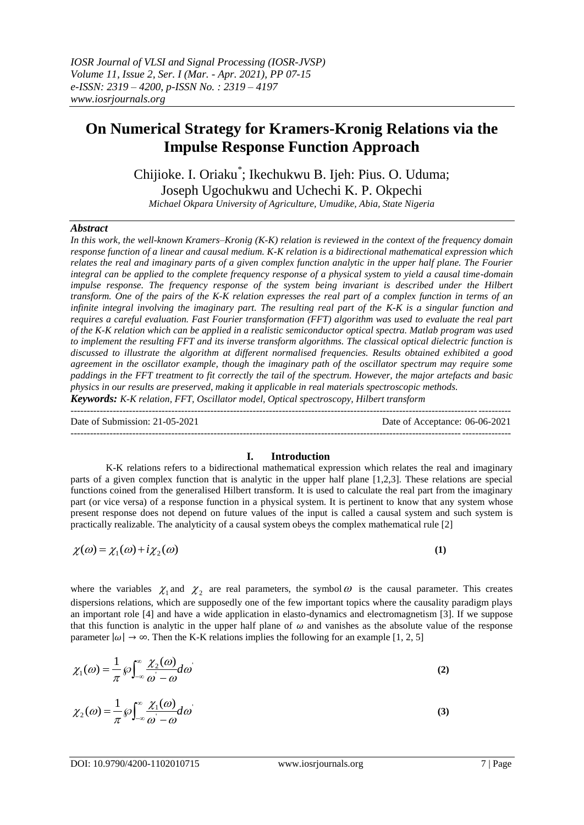# **On Numerical Strategy for Kramers-Kronig Relations via the Impulse Response Function Approach**

Chijioke. I. Oriaku\* ; Ikechukwu B. Ijeh: Pius. O. Uduma; Joseph Ugochukwu and Uchechi K. P. Okpechi

*Michael Okpara University of Agriculture, Umudike, Abia, State Nigeria* 

# *Abstract*

*In this work, the well-known Kramers–Kronig (K-K) relation is reviewed in the context of the frequency domain response function of a linear and causal medium. K-K relation is a bidirectional mathematical expression which relates the real and imaginary parts of a given complex function analytic in the upper half plane. The Fourier integral can be applied to the complete frequency response of a physical system to yield a causal time-domain impulse response. The frequency response of the system being invariant is described under the Hilbert transform. One of the pairs of the K-K relation expresses the real part of a complex function in terms of an infinite integral involving the imaginary part. The resulting real part of the K-K is a singular function and requires a careful evaluation. Fast Fourier transformation (FFT) algorithm was used to evaluate the real part of the K-K relation which can be applied in a realistic semiconductor optical spectra. Matlab program was used to implement the resulting FFT and its inverse transform algorithms. The classical optical dielectric function is discussed to illustrate the algorithm at different normalised frequencies. Results obtained exhibited a good agreement in the oscillator example, though the imaginary path of the oscillator spectrum may require some paddings in the FFT treatment to fit correctly the tail of the spectrum. However, the major artefacts and basic physics in our results are preserved, making it applicable in real materials spectroscopic methods.*

*Keywords: K-K relation, FFT, Oscillator model, Optical spectroscopy, Hilbert transform*

Date of Submission: 21-05-2021 Date of Acceptance: 06-06-2021

---------------------------------------------------------------------------------------------------------------------------------------

---------------------------------------------------------------------------------------------------------------------------------------

# **I. Introduction**

K-K relations refers to a bidirectional mathematical expression which relates the real and imaginary parts of a given complex function that is analytic in the upper half plane [1,2,3]. These relations are special functions coined from the generalised Hilbert transform. It is used to calculate the real part from the imaginary part (or vice versa) of a response function in a physical system. It is pertinent to know that any system whose present response does not depend on future values of the input is called a causal system and such system is practically realizable. The analyticity of a causal system obeys the complex mathematical rule [2]

$$
\chi(\omega) = \chi_1(\omega) + i\chi_2(\omega) \tag{1}
$$

where the variables  $\chi_1$  and  $\chi_2$  are real parameters, the symbol  $\omega$  is the causal parameter. This creates dispersions relations, which are supposedly one of the few important topics where the causality paradigm plays an important role [4] and have a wide application in elasto-dynamics and electromagnetism [3]. If we suppose that this function is analytic in the upper half plane of  $\omega$  and vanishes as the absolute value of the response parameter  $|\omega| \to \infty$ . Then the K-K relations implies the following for an example [1, 2, 5]

$$
\chi_1(\omega) = \frac{1}{\pi} \wp \int_{-\infty}^{\infty} \frac{\chi_2(\omega)}{\omega - \omega} d\omega \tag{2}
$$

$$
\chi_2(\omega) = \frac{1}{\pi} \wp \int_{-\infty}^{\infty} \frac{\chi_1(\omega)}{\omega - \omega} d\omega \tag{3}
$$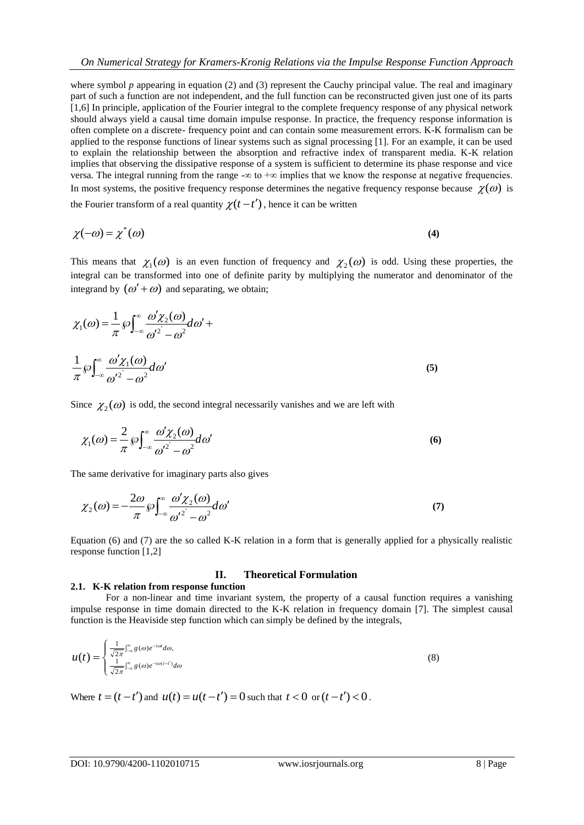where symbol  $p$  appearing in equation (2) and (3) represent the Cauchy principal value. The real and imaginary part of such a function are not independent, and the full function can be reconstructed given just one of its parts [1,6] In principle, application of the Fourier integral to the complete frequency response of any physical network should always yield a causal time domain impulse response. In practice, the frequency response information is often complete on a discrete- frequency point and can contain some measurement errors. K-K formalism can be applied to the response functions of linear systems such as signal processing [1]. For an example, it can be used to explain the relationship between the absorption and refractive index of transparent media. K-K relation implies that observing the dissipative response of a system is sufficient to determine its phase response and vice versa. The integral running from the range  $-\infty$  to  $+\infty$  implies that we know the response at negative frequencies. In most systems, the positive frequency response determines the negative frequency response because  $\chi(\omega)$  is the Fourier transform of a real quantity  $\chi(t-t')$ , hence it can be written

$$
\chi(-\omega) = \chi^*(\omega) \tag{4}
$$

This means that  $\chi_1(\omega)$  is an even function of frequency and  $\chi_2(\omega)$  is odd. Using these properties, the integral can be transformed into one of definite parity by multiplying the numerator and denominator of the integrand by  $(\omega' + \omega)$  and separating, we obtain;

$$
\chi_1(\omega) = \frac{1}{\pi} \wp \int_{-\infty}^{\infty} \frac{\omega' \chi_2(\omega)}{\omega'^2 - \omega^2} d\omega' +
$$
  

$$
\frac{1}{\pi} \wp \int_{-\infty}^{\infty} \frac{\omega' \chi_1(\omega)}{\omega'^2 - \omega^2} d\omega'
$$
 (5)

Since  $\chi_2(\omega)$  is odd, the second integral necessarily vanishes and we are left with

$$
\chi_1(\omega) = \frac{2}{\pi} \wp \int_{-\infty}^{\infty} \frac{\omega' \chi_2(\omega)}{\omega'^2 - \omega^2} d\omega'
$$
 (6)

The same derivative for imaginary parts also gives

$$
\chi_2(\omega) = -\frac{2\omega}{\pi} \wp \int_{-\infty}^{\infty} \frac{\omega' \chi_2(\omega)}{\omega'^2 - \omega^2} d\omega'
$$
 (7)

Equation (6) and (7) are the so called K-K relation in a form that is generally applied for a physically realistic response function [1,2]

#### **II. Theoretical Formulation**

## **2.1. K-K relation from response function**

For a non-linear and time invariant system, the property of a causal function requires a vanishing impulse response in time domain directed to the K-K relation in frequency domain [7]. The simplest causal function is the Heaviside step function which can simply be defined by the integrals,

$$
u(t) = \begin{cases} \frac{1}{\sqrt{2\pi}} \int_{-\infty}^{\infty} g(\omega) e^{-i\omega t} d\omega, \\ \frac{1}{\sqrt{2\pi}} \int_{-\infty}^{\infty} g(\omega) e^{-i\omega(t-t')} d\omega \end{cases}
$$
(8)

Where  $t = (t - t')$  and  $u(t) = u(t - t') = 0$  such that  $t < 0$  or  $(t - t') < 0$ .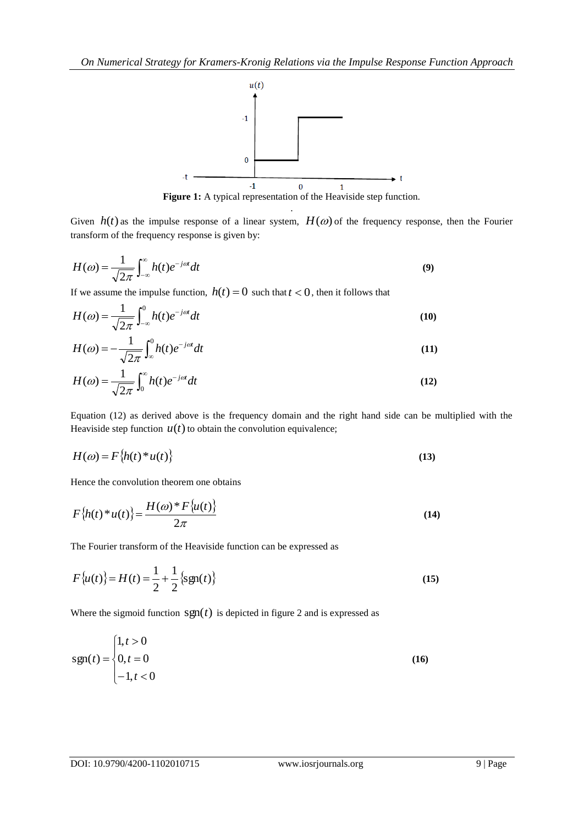

Figure 1: A typical representation of the Heaviside step function. .

Given  $h(t)$  as the impulse response of a linear system,  $H(\omega)$  of the frequency response, then the Fourier transform of the frequency response is given by:

$$
H(\omega) = \frac{1}{\sqrt{2\pi}} \int_{-\infty}^{\infty} h(t)e^{-j\omega t} dt
$$
\n(9)

If we assume the impulse function,  $h(t) = 0$  such that  $t < 0$ , then it follows that

$$
H(\omega) = \frac{1}{\sqrt{2\pi}} \int_{-\infty}^{0} h(t)e^{-j\omega t} dt
$$
 (10)

$$
H(\omega) = -\frac{1}{\sqrt{2\pi}} \int_{-\infty}^{0} h(t)e^{-j\omega t} dt
$$
\n(11)

$$
H(\omega) = \frac{1}{\sqrt{2\pi}} \int_0^\infty h(t)e^{-j\omega t} dt
$$
\n(12)

Equation (12) as derived above is the frequency domain and the right hand side can be multiplied with the Heaviside step function  $u(t)$  to obtain the convolution equivalence;

$$
H(\omega) = F\{h(t)^* u(t)\}\tag{13}
$$

Hence the convolution theorem one obtains

$$
F\{h(t)^*u(t)\} = \frac{H(\omega)^* F\{u(t)\}}{2\pi}
$$
\n
$$
(14)
$$

The Fourier transform of the Heaviside function can be expressed as

$$
F\{u(t)\} = H(t) = \frac{1}{2} + \frac{1}{2} \{\text{sgn}(t)\}\
$$
 (15)

Where the sigmoid function  $sgn(t)$  is depicted in figure 2 and is expressed as

$$
sgn(t) = \begin{cases} 1, t > 0 \\ 0, t = 0 \\ -1, t < 0 \end{cases}
$$
 (16)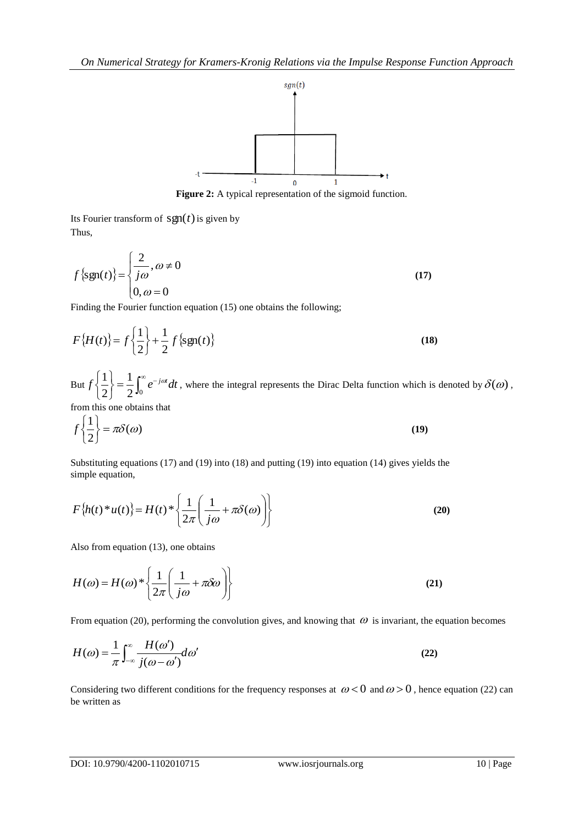

**Figure 2:** A typical representation of the sigmoid function.

Its Fourier transform of  $sgn(t)$  is given by Thus,

$$
f\{\text{sgn}(t)\} = \begin{cases} \frac{2}{j\omega}, \omega \neq 0\\ 0, \omega = 0 \end{cases}
$$
(17)

Finding the Fourier function equation (15) one obtains the following;

$$
F\{H(t)\} = f\left\{\frac{1}{2}\right\} + \frac{1}{2}f\{\text{sgn}(t)\}\tag{18}
$$

But  $f\left\{\frac{1}{2}\right\} = \frac{1}{2}\int_0^\infty e^{-t} dt$  $\int$  $\left\{ \right\}$  $\mathcal{L}$  $\overline{\mathcal{L}}$ ┤  $\int$  $2^{\mathsf{J}_0}$ 1 2  $f\left\{\frac{1}{2}\right\} = \frac{1}{2} \int_{0}^{\infty} e^{-j\omega t} dt$ , where the integral represents the Dirac Delta function which is denoted by  $\delta(\omega)$ ,

from this one obtains that

$$
f\left\{\frac{1}{2}\right\} = \pi \delta(\omega) \tag{19}
$$

Substituting equations (17) and (19) into (18) and putting (19) into equation (14) gives yields the simple equation,

$$
F\{h(t)^*u(t)\} = H(t)^*\left\{\frac{1}{2\pi}\left(\frac{1}{j\omega} + \pi\delta(\omega)\right)\right\}
$$
 (20)

Also from equation (13), one obtains

$$
H(\omega) = H(\omega)^* \left\{ \frac{1}{2\pi} \left( \frac{1}{j\omega} + \pi \delta \omega \right) \right\}
$$
 (21)

From equation (20), performing the convolution gives, and knowing that  $\omega$  is invariant, the equation becomes

$$
H(\omega) = \frac{1}{\pi} \int_{-\infty}^{\infty} \frac{H(\omega')}{j(\omega - \omega')} d\omega'
$$
 (22)

Considering two different conditions for the frequency responses at  $\omega < 0$  and  $\omega > 0$ , hence equation (22) can be written as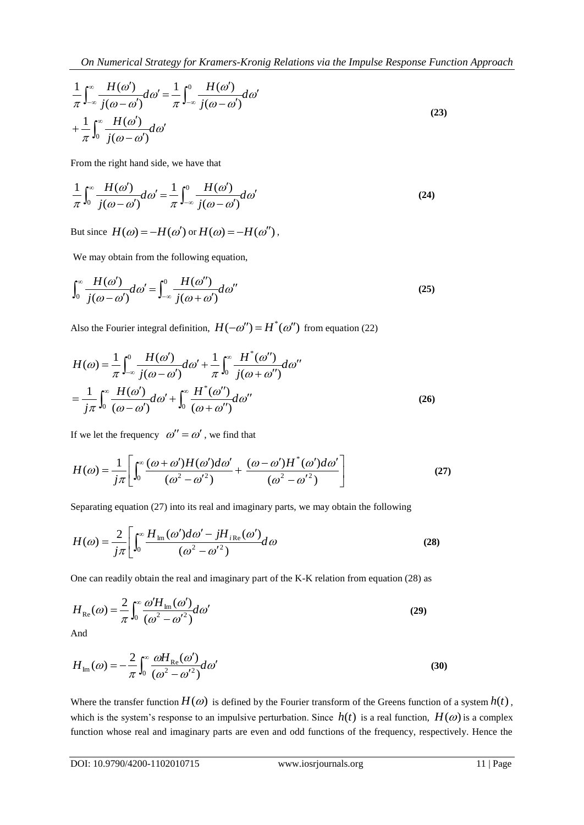$$
\frac{1}{\pi} \int_{-\infty}^{\infty} \frac{H(\omega')}{j(\omega - \omega')} d\omega' = \frac{1}{\pi} \int_{-\infty}^{0} \frac{H(\omega')}{j(\omega - \omega')} d\omega'
$$
\n
$$
+ \frac{1}{\pi} \int_{0}^{\infty} \frac{H(\omega')}{j(\omega - \omega')} d\omega'
$$
\n(23)

From the right hand side, we have that

$$
\frac{1}{\pi} \int_0^\infty \frac{H(\omega')}{j(\omega - \omega')} d\omega' = \frac{1}{\pi} \int_{-\infty}^0 \frac{H(\omega')}{j(\omega - \omega')} d\omega'
$$
\n(24)

But since  $H(\omega) = -H(\omega')$  or  $H(\omega) = -H(\omega'')$ ,

We may obtain from the following equation,

$$
\int_0^\infty \frac{H(\omega')}{j(\omega - \omega')} d\omega' = \int_{-\infty}^0 \frac{H(\omega'')}{j(\omega + \omega')} d\omega''
$$
\n(25)

Also the Fourier integral definition,  $H(-\omega'') = H^*(\omega'')$  from equation (22)

$$
H(\omega) = \frac{1}{\pi} \int_{-\infty}^{0} \frac{H(\omega')}{j(\omega - \omega')} d\omega' + \frac{1}{\pi} \int_{0}^{\infty} \frac{H^*(\omega'')}{j(\omega + \omega'')} d\omega''
$$

$$
= \frac{1}{j\pi} \int_{0}^{\infty} \frac{H(\omega')}{(\omega - \omega')} d\omega' + \int_{0}^{\infty} \frac{H^*(\omega'')}{(\omega + \omega'')} d\omega''
$$
(26)

If we let the frequency  $\omega'' = \omega'$ , we find that

$$
H(\omega) = \frac{1}{j\pi} \left[ \int_0^{\infty} \frac{(\omega + \omega')H(\omega')d\omega'}{(\omega^2 - {\omega'}^2)} + \frac{(\omega - \omega')H^*(\omega')d\omega'}{(\omega^2 - {\omega'}^2)} \right]
$$
(27)

Separating equation (27) into its real and imaginary parts, we may obtain the following

$$
H(\omega) = \frac{2}{j\pi} \left[ \int_0^\infty \frac{H_{\text{Im}}(\omega')d\omega' - jH_{i\text{Re}}(\omega')}{(\omega^2 - {\omega'}^2)} d\omega \right]
$$
 (28)

One can readily obtain the real and imaginary part of the K-K relation from equation (28) as

$$
H_{\text{Re}}(\omega) = \frac{2}{\pi} \int_0^\infty \frac{\omega' H_{\text{Im}}(\omega')}{(\omega^2 - {\omega'}^2)} d\omega'
$$
 (29)

And

$$
H_{\text{Im}}(\omega) = -\frac{2}{\pi} \int_0^{\infty} \frac{\omega H_{\text{Re}}(\omega')}{(\omega^2 - {\omega'}^2)} d\omega'
$$
 (30)

Where the transfer function  $H(\omega)$  is defined by the Fourier transform of the Greens function of a system  $h(t)$ , which is the system's response to an impulsive perturbation. Since  $h(t)$  is a real function,  $H(\omega)$  is a complex function whose real and imaginary parts are even and odd functions of the frequency, respectively. Hence the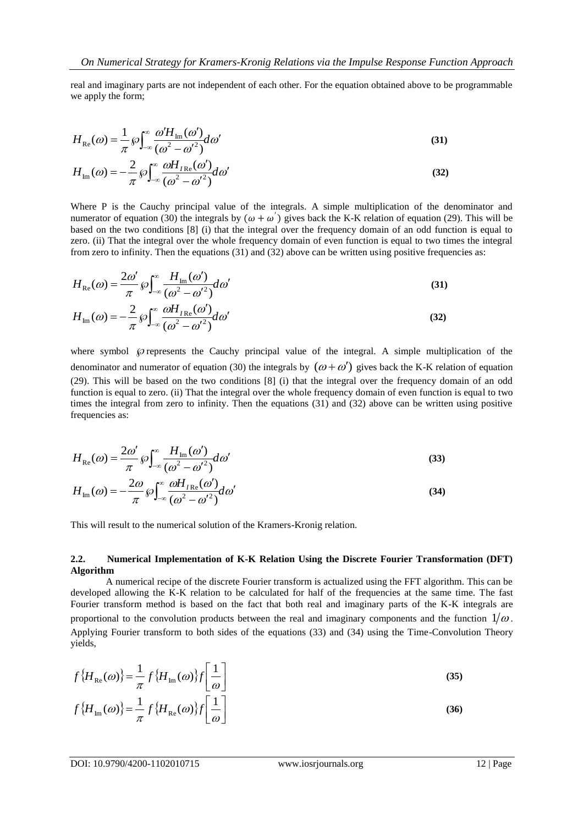real and imaginary parts are not independent of each other. For the equation obtained above to be programmable we apply the form:

$$
H_{\text{Re}}(\omega) = \frac{1}{\pi} \wp \int_{-\infty}^{\infty} \frac{\omega' H_{\text{Im}}(\omega')}{(\omega^2 - {\omega'}^2)} d\omega'
$$
 (31)

$$
H_{\text{Im}}(\omega) = -\frac{2}{\pi} \wp \int_{-\infty}^{\infty} \frac{\omega H_{I \text{Re}}(\omega')}{(\omega^2 - {\omega'}^2)} d\omega'
$$
 (32)

Where P is the Cauchy principal value of the integrals. A simple multiplication of the denominator and numerator of equation (30) the integrals by  $(\omega + \omega')$  gives back the K-K relation of equation (29). This will be based on the two conditions [8] (i) that the integral over the frequency domain of an odd function is equal to zero. (ii) That the integral over the whole frequency domain of even function is equal to two times the integral from zero to infinity. Then the equations (31) and (32) above can be written using positive frequencies as:

$$
H_{\text{Re}}(\omega) = \frac{2\omega'}{\pi} \wp \int_{-\infty}^{\infty} \frac{H_{\text{Im}}(\omega')}{(\omega^2 - \omega'^2)} d\omega'
$$
(31)

$$
H_{\text{Im}}(\omega) = -\frac{2}{\pi} \wp \int_{-\infty}^{\infty} \frac{\omega H_{I \text{Re}}(\omega)}{(\omega^2 - {\omega'}^2)} d\omega'
$$
 (32)

where symbol  $\wp$  represents the Cauchy principal value of the integral. A simple multiplication of the denominator and numerator of equation (30) the integrals by  $(\omega + \omega')$  gives back the K-K relation of equation (29). This will be based on the two conditions [8] (i) that the integral over the frequency domain of an odd function is equal to zero. (ii) That the integral over the whole frequency domain of even function is equal to two times the integral from zero to infinity. Then the equations (31) and (32) above can be written using positive frequencies as:

$$
H_{\text{Re}}(\omega) = \frac{2\omega'}{\pi} \wp \int_{-\infty}^{\infty} \frac{H_{\text{Im}}(\omega')}{(\omega^2 - {\omega'}^2)} d\omega'
$$
 (33)

$$
H_{\text{Im}}(\omega) = -\frac{2\omega}{\pi} \wp \int_{-\infty}^{\infty} \frac{\omega H_{I\text{Re}}(\omega')}{(\omega^2 - {\omega'}^2)} d\omega'
$$
 (34)

This will result to the numerical solution of the Kramers-Kronig relation.

### **2.2. Numerical Implementation of K-K Relation Using the Discrete Fourier Transformation (DFT) Algorithm**

A numerical recipe of the discrete Fourier transform is actualized using the FFT algorithm. This can be developed allowing the K-K relation to be calculated for half of the frequencies at the same time. The fast Fourier transform method is based on the fact that both real and imaginary parts of the K-K integrals are proportional to the convolution products between the real and imaginary components and the function  $1/\omega$ . Applying Fourier transform to both sides of the equations (33) and (34) using the Time-Convolution Theory yields,

$$
f\{H_{\text{Re}}(\omega)\} = \frac{1}{\pi} f\{H_{\text{Im}}(\omega)\} f\left[\frac{1}{\omega}\right]
$$
\n
$$
f\{H_{\text{Im}}(\omega)\} = \frac{1}{\pi} f\{H_{\text{Re}}(\omega)\} f\left[\frac{1}{\omega}\right]
$$
\n(36)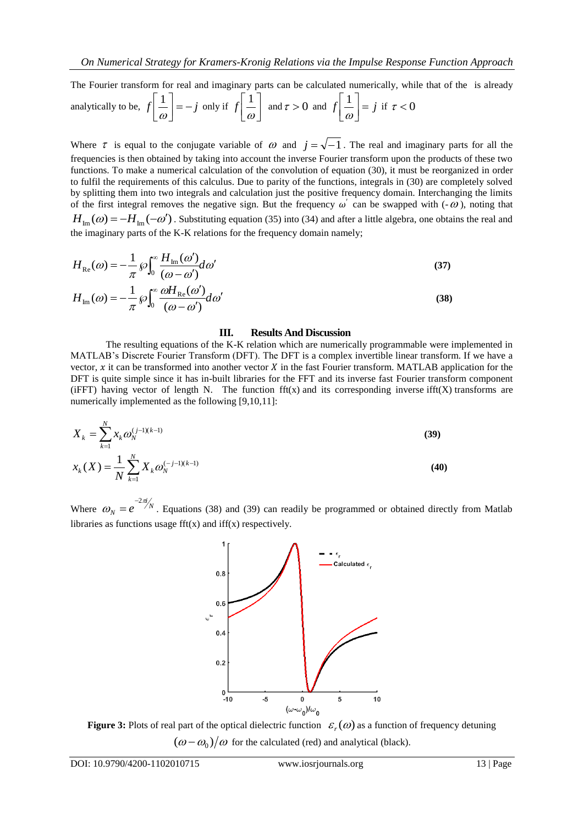The Fourier transform for real and imaginary parts can be calculated numerically, while that of the is already\n
$$
\begin{bmatrix} 1 \\ 1 \end{bmatrix}
$$

analytically to be, 
$$
f\left[\frac{1}{\omega}\right] = -j
$$
 only if  $f\left[\frac{1}{\omega}\right]$  and  $\tau > 0$  and  $f\left[\frac{1}{\omega}\right] = j$  if  $\tau < 0$ 

Where  $\tau$  is equal to the conjugate variable of  $\omega$  and  $j = \sqrt{-1}$ . The real and imaginary parts for all the frequencies is then obtained by taking into account the inverse Fourier transform upon the products of these two functions. To make a numerical calculation of the convolution of equation (30), it must be reorganized in order to fulfil the requirements of this calculus. Due to parity of the functions, integrals in (30) are completely solved by splitting them into two integrals and calculation just the positive frequency domain. Interchanging the limits of the first integral removes the negative sign. But the frequency  $\omega'$  can be swapped with  $(-\omega)$ , noting that  $H_{Im}(\omega) = -H_{Im}(-\omega')$ . Substituting equation (35) into (34) and after a little algebra, one obtains the real and the imaginary parts of the K-K relations for the frequency domain namely;

$$
H_{\text{Re}}(\omega) = -\frac{1}{\pi} \wp \int_0^\infty \frac{H_{\text{Im}}(\omega')}{(\omega - \omega')} d\omega' \tag{37}
$$

$$
H_{\text{Im}}(\omega) = -\frac{1}{\pi} \wp \int_0^\infty \frac{\omega H_{\text{Re}}(\omega')}{(\omega - \omega')} d\omega'
$$
 (38)

#### **III. Results And Discussion**

The resulting equations of the K-K relation which are numerically programmable were implemented in MATLAB"s Discrete Fourier Transform (DFT). The DFT is a complex invertible linear transform. If we have a vector,  $x$  it can be transformed into another vector  $X$  in the fast Fourier transform. MATLAB application for the DFT is quite simple since it has in-built libraries for the FFT and its inverse fast Fourier transform component (iFFT) having vector of length N. The function  $\text{fft}(x)$  and its corresponding inverse ifft $(X)$  transforms are numerically implemented as the following [9,10,11]:

$$
X_{k} = \sum_{k=1}^{N} x_{k} \omega_{N}^{(j-1)(k-1)}
$$
(39)  

$$
x_{k}(X) = \frac{1}{N} \sum_{k=1}^{N} X_{k} \omega_{N}^{(-j-1)(k-1)}
$$
(40)

Where  $\omega_N = e^{-2\pi i/N}$  $\omega_N = e^{-2\pi i}$  $= e^{-2\pi i /N}$ . Equations (38) and (39) can readily be programmed or obtained directly from Matlab libraries as functions usage  $fft(x)$  and  $iff(x)$  respectively.



**Figure 3:** Plots of real part of the optical dielectric function  $\varepsilon_r(\omega)$  as a function of frequency detuning  $(\omega - \omega_0)/\omega$  for the calculated (red) and analytical (black).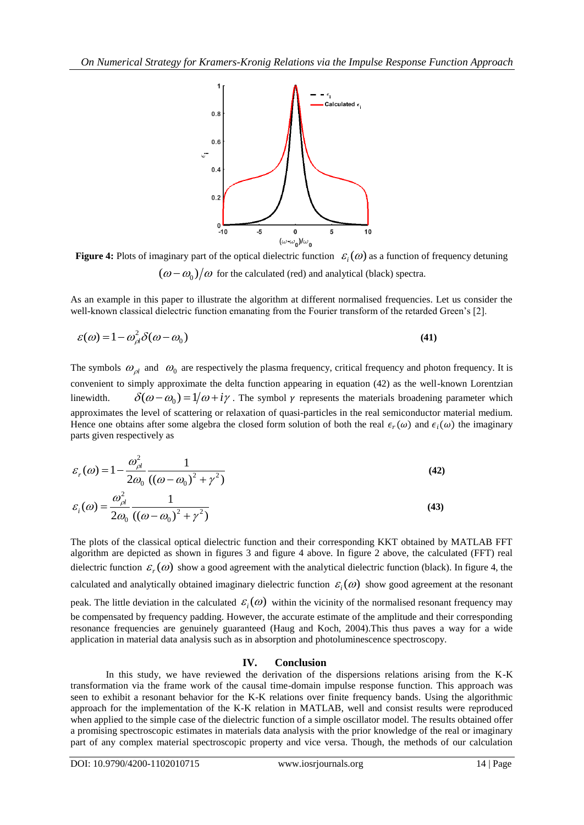

**Figure 4:** Plots of imaginary part of the optical dielectric function  $\epsilon_i(\omega)$  as a function of frequency detuning  $(\omega - \omega_0)/\omega$  for the calculated (red) and analytical (black) spectra.

As an example in this paper to illustrate the algorithm at different normalised frequencies. Let us consider the well-known classical dielectric function emanating from the Fourier transform of the retarded Green's [2].

$$
\varepsilon(\omega) = 1 - \omega_{\rho l}^2 \delta(\omega - \omega_0)
$$
\n(41)

The symbols  $\omega_{\rho l}$  and  $\omega_0$  are respectively the plasma frequency, critical frequency and photon frequency. It is convenient to simply approximate the delta function appearing in equation (42) as the well-known Lorentzian linewidth.  $\delta(\omega-\omega_0)=1/\omega+i\gamma$ . The symbol  $\gamma$  represents the materials broadening parameter which approximates the level of scattering or relaxation of quasi-particles in the real semiconductor material medium. Hence one obtains after some algebra the closed form solution of both the real  $\epsilon_r(\omega)$  and  $\epsilon_i(\omega)$  the imaginary parts given respectively as

$$
\varepsilon_r(\omega) = 1 - \frac{\omega_{\rho l}^2}{2\omega_0} \frac{1}{((\omega - \omega_0)^2 + \gamma^2)}
$$
(42)

$$
\varepsilon_i(\omega) = \frac{\omega_{\rho_i}^2}{2\omega_0} \frac{1}{\left((\omega - \omega_0)^2 + \gamma^2\right)}\tag{43}
$$

The plots of the classical optical dielectric function and their corresponding KKT obtained by MATLAB FFT algorithm are depicted as shown in figures 3 and figure 4 above. In figure 2 above, the calculated (FFT) real dielectric function  $\varepsilon_r(\omega)$  show a good agreement with the analytical dielectric function (black). In figure 4, the calculated and analytically obtained imaginary dielectric function  $\varepsilon_i(\omega)$  show good agreement at the resonant peak. The little deviation in the calculated  $\varepsilon_i(\omega)$  within the vicinity of the normalised resonant frequency may be compensated by frequency padding. However, the accurate estimate of the amplitude and their corresponding resonance frequencies are genuinely guaranteed (Haug and Koch, 2004).This thus paves a way for a wide application in material data analysis such as in absorption and photoluminescence spectroscopy.

# **IV. Conclusion**

In this study, we have reviewed the derivation of the dispersions relations arising from the K-K transformation via the frame work of the causal time-domain impulse response function. This approach was seen to exhibit a resonant behavior for the K-K relations over finite frequency bands. Using the algorithmic approach for the implementation of the K-K relation in MATLAB, well and consist results were reproduced when applied to the simple case of the dielectric function of a simple oscillator model. The results obtained offer a promising spectroscopic estimates in materials data analysis with the prior knowledge of the real or imaginary part of any complex material spectroscopic property and vice versa. Though, the methods of our calculation